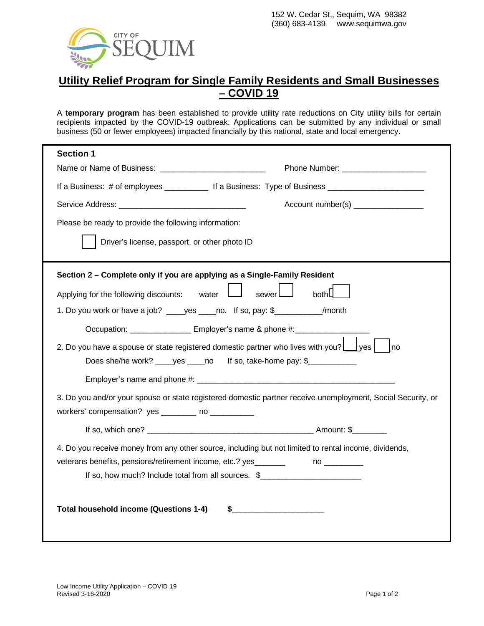

## **Utility Relief Program for Single Family Residents and Small Businesses – COVID 19**

A **temporary program** has been established to provide utility rate reductions on City utility bills for certain recipients impacted by the COVID-19 outbreak. Applications can be submitted by any individual or small business (50 or fewer employees) impacted financially by this national, state and local emergency.

| <b>Section 1</b>                                                                                                                                                   |             |  |
|--------------------------------------------------------------------------------------------------------------------------------------------------------------------|-------------|--|
|                                                                                                                                                                    |             |  |
| If a Business: # of employees ______________ If a Business: Type of Business _______________________                                                               |             |  |
|                                                                                                                                                                    |             |  |
| Please be ready to provide the following information:                                                                                                              |             |  |
| Driver's license, passport, or other photo ID                                                                                                                      |             |  |
| Section 2 – Complete only if you are applying as a Single-Family Resident                                                                                          |             |  |
| Applying for the following discounts: water<br>sewer                                                                                                               | $both \Box$ |  |
| 1. Do you work or have a job? _____ yes _____ no. If so, pay: \$_____________/month                                                                                |             |  |
| Occupation: _________________ Employer's name & phone #: ___________                                                                                               |             |  |
| 2. Do you have a spouse or state registered domestic partner who lives with you? <u>Uyes</u>                                                                       | Ino         |  |
| Does she/he work? _____ yes _____ no lf so, take-home pay: \$_____________                                                                                         |             |  |
|                                                                                                                                                                    |             |  |
| 3. Do you and/or your spouse or state registered domestic partner receive unemployment, Social Security, or<br>workers' compensation? yes _________ no ___________ |             |  |
|                                                                                                                                                                    |             |  |
| 4. Do you receive money from any other source, including but not limited to rental income, dividends,                                                              |             |  |
| veterans benefits, pensions/retirement income, etc.? yes_________________________                                                                                  |             |  |
| If so, how much? Include total from all sources. \$                                                                                                                |             |  |
|                                                                                                                                                                    |             |  |
| <b>Total household income (Questions 1-4)</b><br>$\frac{1}{2}$                                                                                                     |             |  |
|                                                                                                                                                                    |             |  |